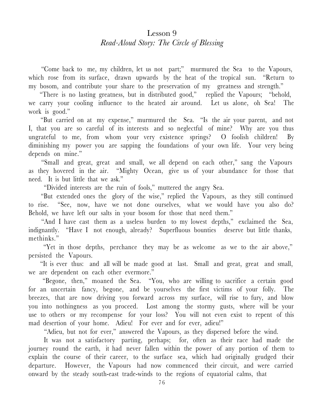#### Lesson 9 *Read-Aloud Story: The Circle of Blessing*

 "Come back to me, my children, let us not part;" murmured the Sea to the Vapours, which rose from its surface, drawn upwards by the heat of the tropical sun. "Return to my bosom, and contribute your share to the preservation of my greatness and strength."

 "There is no lasting greatness, but in distributed good," replied the Vapours; "behold, we carry your cooling influence to the heated air around. Let us alone, oh Sea! The work is good."

 "But carried on at my expense," murmured the Sea. "Is the air your parent, and not I, that you are so careful of its interests and so neglectful of mine? Why are you thus ungrateful to me, from whom your very existence springs? O foolish children! By diminishing my power you are sapping the foundations of your own life. Your very being depends on mine."

 "Small and great, great and small, we all depend on each other," sang the Vapours as they hovered in the air. "Mighty Ocean, give us of your abundance for those that need. It is but little that we ask."

"Divided interests are the ruin of fools," muttered the angry Sea.

 "But extended ones the glory of the wise," replied the Vapours, as they still continued to rise. "See, now, have we not done ourselves, what we would have you also do? Behold, we have left our salts in your bosom for those that need them."

 "And I have cast them as a useless burden to my lowest depths," exclaimed the Sea, indignantly. "Have I not enough, already? Superfluous bounties deserve but little thanks, methinks."

"Yet in those depths, perchance they may be as welcome as we to the air above," persisted the Vapours.

 "It is ever thus: and all will be made good at last. Small and great, great and small, we are dependent on each other evermore."

"Begone, then," moaned the Sea. "You, who are willing to sacrifice a certain good for an uncertain fancy, begone, and be yourselves the first victims of your folly. The breezes, that are now driving you forward across my surface, will rise to fury, and blow you into nothingness as you proceed. Lost among the stormy gusts, where will be your use to others or my recompense for your loss? You will not even exist to repent of this mad desertion of your home. Adieu! For ever and for ever, adieu!"

"Adieu, but not for ever," answered the Vapours, as they dispersed before the wind.

It was not a satisfactory parting, perhaps; for, often as their race had made the journey round the earth, it had never fallen within the power of any portion of them to explain the course of their career, to the surface sea, which had originally grudged their departure. However, the Vapours had now commenced their circuit, and were carried onward by the steady south-east trade-winds to the regions of equatorial calms, that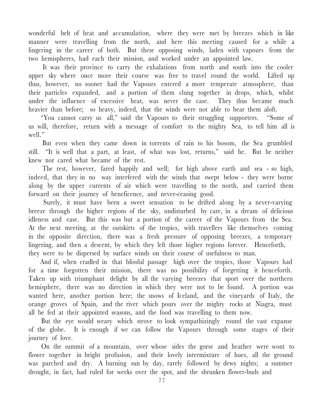wonderful belt of heat and accumulation, where they were met by breezes which in like manner were travelling from the north, and here this meeting caused for a while a lingering in the career of both. But these opposing winds, laden with vapours from the two hemispheres, had each their mission, and worked under an appointed law.

It was their province to carry the exhalations from north and south into the cooler upper sky where once more their course was free to travel round the world. Lifted up thus, however, no sooner had the Vapours entered a more temperate atmosphere, than their particles expanded, and a portion of them clung together in drops, which, whilst under the influence of excessive heat, was never the case. They thus became much heavier than before; so heavy, indeed, that the winds were not able to bear them aloft.

 "You cannot carry us all," said the Vapours to their struggling supporters. "Some of us will, therefore, return with a message of comfort to the mighty Sea, to tell him all is well."

But even when they came down in torrents of rain to his bosom, the Sea grumbled still. "It is well that a part, at least, of what was lost, returns," said he. But he neither knew nor cared what became of the rest.

The rest, however, fared happily and well; for high above earth and sea - so high, indeed, that they in no way interfered with the winds that swept below - they were borne along by the upper currents of air which were travelling to the north, and carried them forward on their journey of beneficence, and never-ceasing good.

Surely, it must have been a sweet sensation to be drifted along by a never-varying breeze through the higher regions of the sky, undisturbed by care, in a dream of delicious idleness and ease. But this was but a portion of the career of the Vapours from the Sea. At the next meeting, at the outskirts of the tropics, with travellers like themselves coming in the opposite direction, there was a fresh pressure of opposing breezes, a temporary lingering, and then a descent, by which they left those higher regions forever. Henceforth, they were to be dispersed by surface winds on their course of usefulness to man.

 And if, when cradled in that blissful passage high over the tropics, those Vapours had for a time forgotten their mission, there was no possibility of forgetting it henceforth. Taken up with triumphant delight by all the varying breezes that sport over the northern hemisphere, there was no direction in which they were not to be found. A portion was wanted here, another portion here; the snows of Iceland, and the vineyards of Italy, the orange groves of Spain, and the river which pours over the mighty rocks at Niagra, must all be fed at their appointed seasons, and the food was travelling to them now.

 But the eye would weary which strove to look sympathizingly round the vast expanse of the globe. It is enough if we can follow the Vapours through some stages of their journey of love.

 On the summit of a mountain, over whose sides the gorse and heather were wont to flower together in bright profusion, and their lovely intermixture of hues, all the ground was parched and dry. A burning sun by day, rarely followed by dewy nights; a summer drought, in fact, had ruled for weeks over the spot, and the shrunken flower-buds and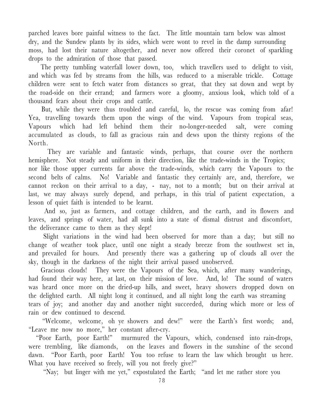parched leaves bore painful witness to the fact. The little mountain tarn below was almost dry, and the Sundew plants by its sides, which were wont to revel in the damp surrounding moss, had lost their nature altogether, and never now offered their coronet of sparkling drops to the admiration of those that passed.

 The pretty tumbling waterfall lower down, too, which travellers used to delight to visit, and which was fed by streams from the hills, was reduced to a miserable trickle. Cottage children were sent to fetch water from distances so great, that they sat down and wept by the road-side on their errand; and farmers wore a gloomy, anxious look, which told of a thousand fears about their crops and cattle.

 But, while they were thus troubled and careful, lo, the rescue was coming from afar! Yea, travelling towards them upon the wings of the wind. Vapours from tropical seas, Vapours which had left behind them their no-longer-needed salt, were coming accumulated as clouds, to fall as gracious rain and dews upon the thirsty regions of the North.

They are variable and fantastic winds, perhaps, that course over the northern hemisphere. Not steady and uniform in their direction, like the trade-winds in the Tropics; nor like those upper currents far above the trade-winds, which carry the Vapours to the second belts of calms. No! Variable and fantastic they certainly are, and, therefore, we cannot reckon on their arrival to a day, - nay, not to a month; but on their arrival at last, we may always surely depend, and perhaps, in this trial of patient expectation, a lesson of quiet faith is intended to be learnt.

And so, just as farmers, and cottage children, and the earth, and its flowers and leaves, and springs of water, had all sunk into a state of dismal distrust and discomfort, the deliverance came to them as they slept!

Slight variations in the wind had been observed for more than a day; but still no change of weather took place, until one night a steady breeze from the southwest set in, and prevailed for hours. And presently there was a gathering up of clouds all over the sky, though in the darkness of the night their arrival passed unobserved.

 Gracious clouds! They were the Vapours of the Sea, which, after many wanderings, had found their way here, at last, on their mission of love. And, lo! The sound of waters was heard once more on the dried-up hills, and sweet, heavy showers dropped down on the delighted earth. All night long it continued, and all night long the earth was streaming tears of joy; and another day and another night succeeded, during which more or less of rain or dew continued to descend.

"Welcome, welcome, oh ye showers and dew!" were the Earth's first words; and, "Leave me now no more," her constant after-cry.

 "Poor Earth, poor Earth!" murmured the Vapours, which, condensed into rain-drops, were trembling, like diamonds, on the leaves and flowers in the sunshine of the second dawn. "Poor Earth, poor Earth! You too refuse to learn the law which brought us here. What you have received so freely, will you not freely give?"

"Nay; but linger with me yet," expostulated the Earth; "and let me rather store you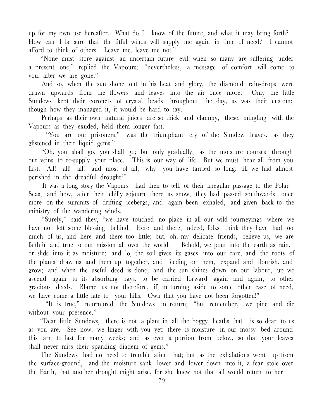up for my own use hereafter. What do I know of the future, and what it may bring forth? How can I be sure that the fitful winds will supply me again in time of need? I cannot afford to think of others. Leave me, leave me not."

 "None must store against an uncertain future evil, when so many are suffering under a present one," replied the Vapours; "nevertheless, a message of comfort will come to you, after we are gone."

And so, when the sun shone out in his heat and glory, the diamond rain-drops were drawn upwards from the flowers and leaves into the air once more. Only the little Sundews kept their coronets of crystal beads throughout the day, as was their custom; though how they managed it, it would be hard to say.

 Perhaps as their own natural juices are so thick and clammy, these, mingling with the Vapours as they exuded, held them longer fast.

"You are our prisoners," was the triumphant cry of the Sundew leaves, as they glistened in their liquid gems."

 "Oh, you shall go, you shall go; but only gradually, as the moisture courses through our veins to re-supply your place. This is our way of life. But we must hear all from you first. All! all! all! and most of all, why you have tarried so long, till we had almost perished in the dreadful drought?"

 It was a long story the Vapours had then to tell, of their irregular passage to the Polar Seas; and how, after their chilly sojourn there as snow, they had passed southwards once more on the summits of drifting icebergs, and again been exhaled, and given back to the ministry of the wandering winds.

"Surely," said they, "we have touched no place in all our wild journeyings where we have not left some blessing behind. Here and there, indeed, folks think they have had too much of us, and here and there too little; but, oh, my delicate friends, believe us, we are faithful and true to our mission all over the world. Behold, we pour into the earth as rain, or slide into it as moisture; and lo, the soil gives its gases into our care, and the roots of the plants draw us and them up together, and feeding on them, expand and flourish, and grow; and when the useful deed is done, and the sun shines down on our labour, up we ascend again to its absorbing rays, to be carried forward again and again, to other gracious deeds. Blame us not therefore, if, in turning aside to some other case of need, we have come a little late to your hills. Own that you have not been forgotten!"

"It is true," murmured the Sundews in return; "but remember, we pine and die without your presence."

 "Dear little Sundews, there is not a plant in all the boggy heaths that is so dear to us as you are. See now, we linger with you yet; there is moisture in our mossy bed around this tarn to last for many weeks; and as ever a portion from below, so that your leaves shall never miss their sparkling diadem of gems."

 The Sundews had no need to tremble after that; but as the exhalations went up from the surface-ground, and the moisture sank lower and lower down into it, a fear stole over the Earth, that another drought might arise, for she knew not that all would return to her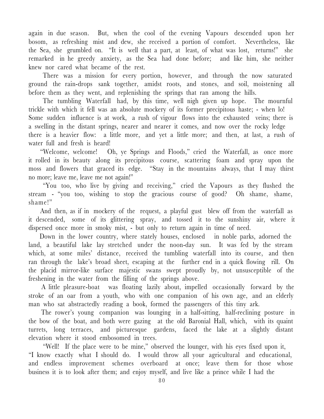again in due season. But, when the cool of the evening Vapours descended upon her bosom, as refreshing mist and dew, she received a portion of comfort. Nevertheless, like the Sea, she grumbled on. "It is well that a part, at least, of what was lost, returns!" she remarked in he greedy anxiety, as the Sea had done before; and like him, she neither knew nor cared what became of the rest.

There was a mission for every portion, however, and through the now saturated ground the rain-drops sank together, amidst roots, and stones, and soil, moistening all before them as they went, and replenishing the springs that ran among the hills.

The tumbling Waterfall had, by this time, well nigh given up hope. The mournful trickle with which it fell was an absolute mockery of its former precipitous haste; - when lo! Some sudden influence is at work, a rush of vigour flows into the exhausted veins; there is a swelling in the distant springs, nearer and nearer it comes, and now over the rocky ledge there is a heavier flow: a little more, and yet a little more; and then, at last, a rush of water full and fresh is heard!

 "Welcome, welcome! Oh, ye Springs and Floods," cried the Waterfall, as once more it rolled in its beauty along its precipitous course, scattering foam and spray upon the moss and flowers that graced its edge. "Stay in the mountains always, that I may thirst no more; leave me, leave me not again!"

"You too, who live by giving and receiving," cried the Vapours as they flushed the stream - "you too, wishing to stop the gracious course of good? Oh shame, shame, shame!"

 And then, as if in mockery of the request, a playful gust blew off from the waterfall as it descended, some of its glittering spray, and tossed it to the sunshiny air, where it dispersed once more in smoky mist, - but only to return again in time of need.

 Down in the lower country, where stately houses, enclosed in noble parks, adorned the land, a beautiful lake lay stretched under the noon-day sun. It was fed by the stream which, at some miles' distance, received the tumbling waterfall into its course, and then ran through the lake's broad sheet, escaping at the further end in a quick flowing rill. On the placid mirror-like surface majestic swans swept proudly by, not unsusceptible of the freshening in the water from the filling of the springs above.

A little pleasure-boat was floating lazily about, impelled occasionally forward by the stroke of an oar from a youth, who with one companion of his own age, and an elderly man who sat abstractedly reading a book, formed the passengers of this tiny ark.

 The rower's young companion was lounging in a half-sitting, half-reclining posture in the bow of the boat, and both were gazing at the old Baronial Hall, which, with its quaint turrets, long terraces, and picturesque gardens, faced the lake at a slightly distant elevation where it stood embosomed in trees.

 "Well! If the place were to be mine," observed the lounger, with his eyes fixed upon it, "I know exactly what I should do. I would throw all your agricultural and educational, and endless improvement schemes overboard at once; leave them for those whose business it is to look after them; and enjoy myself, and live like a prince while I had the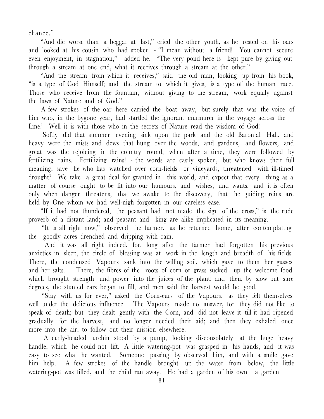chance."

 "And die worse than a beggar at last," cried the other youth, as he rested on his oars and looked at his cousin who had spoken - "I mean without a friend! You cannot secure even enjoyment, in stagnation," added he. "The very pond here is kept pure by giving out through a stream at one end, what it receives through a stream at the other."

 "And the stream from which it receives," said the old man, looking up from his book, "is a type of God Himself; and the stream to which it gives, is a type of the human race. Those who receive from the fountain, without giving to the stream, work equally against the laws of Nature and of God."

 A few strokes of the oar here carried the boat away, but surely that was the voice of him who, in the bygone year, had startled the ignorant murmurer in the voyage across the Line? Well it is with those who in the secrets of Nature read the wisdom of God!

Softly did that summer evening sink upon the park and the old Baronial Hall, and heavy were the mists and dews that hung over the woods, and gardens, and flowers, and great was the rejoicing in the country round, when after a time, they were followed by fertilizing rains. Fertilizing rains! - the words are easily spoken, but who knows their full meaning, save he who has watched over corn-fields or vineyards, threatened with ill-timed drought? We take a great deal for granted in this world, and expect that every thing as a matter of course ought to be fit into our humours, and wishes, and wants; and it is often only when danger threatens, that we awake to the discovery, that the guiding reins are held by One whom we had well-nigh forgotten in our careless ease.

 "If it had not thundered, the peasant had not made the sign of the cross," is the rude proverb of a distant land; and peasant and king are alike implicated in its meaning.

"It is all right now," observed the farmer, as he returned home, after contemplating the goodly acres drenched and dripping with rain.

And it was all right indeed, for, long after the farmer had forgotten his previous anxieties in sleep, the circle of blessing was at work in the length and breadth of his fields. There, the condensed Vapours sank into the willing soil, which gave to them her gasses and her salts. There, the fibres of the roots of corn or grass sucked up the welcome food which brought strength and power into the juices of the plant; and then, by slow but sure degrees, the stunted ears began to fill, and men said the harvest would be good.

"Stay with us for ever," asked the Corn-ears of the Vapours, as they felt themselves well under the delicious influence. The Vapours made no answer, for they did not like to speak of death; but they dealt gently with the Corn, and did not leave it till it had ripened gradually for the harvest, and no longer needed their aid; and then they exhaled once more into the air, to follow out their mission elsewhere.

A curly-headed urchin stood by a pump, looking disconsolately at the huge heavy handle, which he could not lift. A little watering-pot was grasped in his hands, and it was easy to see what he wanted. Someone passing by observed him, and with a smile gave him help. A few strokes of the handle brought up the water from below, the little watering-pot was filled, and the child ran away. He had a garden of his own: a garden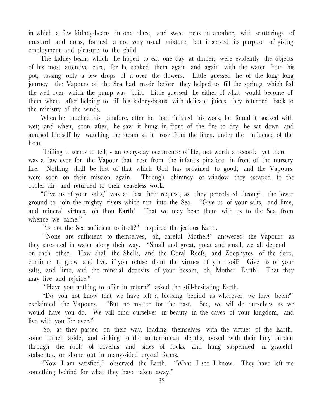in which a few kidney-beans in one place, and sweet peas in another, with scatterings of mustard and cress, formed a not very usual mixture; but it served its purpose of giving employment and pleasure to the child.

 The kidney-beans which he hoped to eat one day at dinner, were evidently the objects of his most attentive care, for he soaked them again and again with the water from his pot, tossing only a few drops of it over the flowers. Little guessed he of the long long journey the Vapours of the Sea had made before they helped to fill the springs which fed the well over which the pump was built. Little guessed he either of what would become of them when, after helping to fill his kidney-beans with delicate juices, they returned back to the ministry of the winds.

 When he touched his pinafore, after he had finished his work, he found it soaked with wet; and when, soon after, he saw it hung in front of the fire to dry, he sat down and amused himself by watching the steam as it rose from the linen, under the influence of the heat.

 Trifling it seems to tell; - an every-day occurrence of life, not worth a record: yet there was a law even for the Vapour that rose from the infant's pinafore in front of the nursery fire. Nothing shall be lost of that which God has ordained to good; and the Vapours were soon on their mission again. Through chimney or window they escaped to the cooler air, and returned to their ceaseless work.

 "Give us of your salts," was at last their request, as they percolated through the lower ground to join the mighty rivers which ran into the Sea. "Give us of your salts, and lime, and mineral virtues, oh thou Earth! That we may bear them with us to the Sea from whence we came."

"Is not the Sea sufficient to itself?" inquired the jealous Earth.

"None are sufficient to themselves, oh, careful Mother!" answered the Vapours as they streamed in water along their way. "Small and great, great and small, we all depend on each other. How shall the Shells, and the Coral Reefs, and Zoophytes of the deep, continue to grow and live, if you refuse them the virtues of your soil? Give us of your salts, and lime, and the mineral deposits of your bosom, oh, Mother Earth! That they may live and rejoice."

"Have you nothing to offer in return?" asked the still-hesitating Earth.

"Do you not know that we have left a blessing behind us wherever we have been?" exclaimed the Vapours. "But no matter for the past. See, we will do ourselves as we would have you do. We will bind ourselves in beauty in the caves of your kingdom, and live with you for ever."

So, as they passed on their way, loading themselves with the virtues of the Earth, some turned aside, and sinking to the subterranean depths, oozed with their limy burden through the roofs of caverns and sides of rocks, and hung suspended in graceful stalactites, or shone out in many-sided crystal forms.

 "Now I am satisfied," observed the Earth. "What I see I know. They have left me something behind for what they have taken away."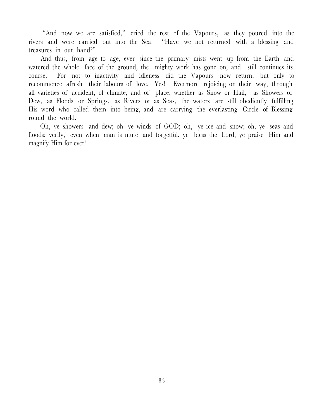"And now we are satisfied," cried the rest of the Vapours, as they poured into the rivers and were carried out into the Sea. "Have we not returned with a blessing and treasures in our hand?"

 And thus, from age to age, ever since the primary mists went up from the Earth and watered the whole face of the ground, the mighty work has gone on, and still continues its course. For not to inactivity and idleness did the Vapours now return, but only to recommence afresh their labours of love. Yes! Evermore rejoicing on their way, through all varieties of accident, of climate, and of place, whether as Snow or Hail, as Showers or Dew, as Floods or Springs, as Rivers or as Seas, the waters are still obediently fulfilling His word who called them into being, and are carrying the everlasting Circle of Blessing round the world.

 Oh, ye showers and dew; oh ye winds of GOD; oh, ye ice and snow; oh, ye seas and floods; verily, even when man is mute and forgetful, ye bless the Lord, ye praise Him and magnify Him for ever!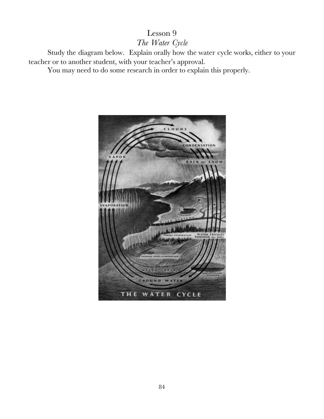### Lesson 9

# *The Water Cycle*

Study the diagram below. Explain orally how the water cycle works, either to your teacher or to another student, with your teacher's approval.

You may need to do some research in order to explain this properly.

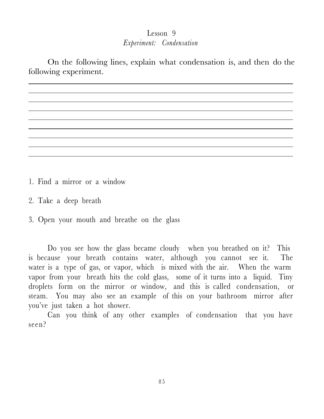### Lesson 9 *Experiment: Condensation*

On the following lines, explain what condensation is, and then do the following experiment.

1. Find a mirror or a window

2. Take a deep breath

 $\overline{a}$ 

3. Open your mouth and breathe on the glass

Do you see how the glass became cloudy when you breathed on it? This is because your breath contains water, although you cannot see it. The water is a type of gas, or vapor, which is mixed with the air. When the warm vapor from your breath hits the cold glass, some of it turns into a liquid. Tiny droplets form on the mirror or window, and this is called condensation, or steam. You may also see an example of this on your bathroom mirror after you've just taken a hot shower.

Can you think of any other examples of condensation that you have seen?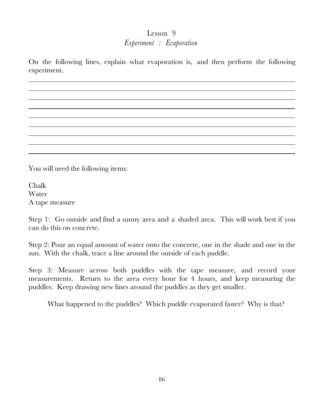## Lesson 9 *Experiment : Evaporation*

On the following lines, explain what evaporation is, and then perform the following experiment.

You will need the following items:

Chalk Water A tape measure

 $\overline{a}$ 

Step 1: Go outside and find a sunny area and a shaded area. This will work best if you can do this on concrete.

Step 2: Pour an equal amount of water onto the concrete, one in the shade and one in the sun. With the chalk, trace a line around the outside of each puddle.

Step 3: Measure across both puddles with the tape measure, and record your measurements. Return to the area every hour for 4 hours, and keep measuring the puddles. Keep drawing new lines around the puddles as they get smaller.

What happened to the puddles? Which puddle evaporated faster? Why is that?